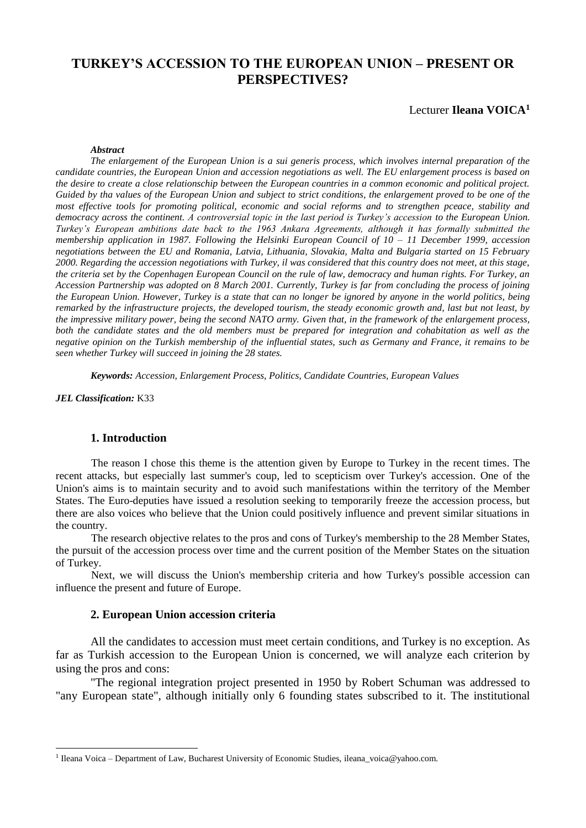# **TURKEY'S ACCESSION TO THE EUROPEAN UNION – PRESENT OR PERSPECTIVES?**

### Lecturer **Ileana VOICA<sup>1</sup>**

### *Abstract*

*The enlargement of the European Union is a sui generis process, which involves internal preparation of the candidate countries, the European Union and accession negotiations as well. The EU enlargement process is based on the desire to create a close relationschip between the European countries in a common economic and political project. Guided by tha values of the European Union and subject to strict conditions, the enlargement proved to be one of the most effective tools for promoting political, economic and social reforms and to strengthen pceace, stability and democracy across the continent. A controversial topic in the last period is Turkey's accession to the European Union. Turkey's European ambitions date back to the 1963 Ankara Agreements, although it has formally submitted the membership application in 1987. Following the Helsinki European Council of 10 – 11 December 1999, accession negotiations between the EU and Romania, Latvia, Lithuania, Slovakia, Malta and Bulgaria started on 15 February 2000. Regarding the accession negotiations with Turkey, il was considered that this country does not meet, at this stage, the criteria set by the Copenhagen European Council on the rule of law, democracy and human rights. For Turkey, an Accession Partnership was adopted on 8 March 2001. Currently, Turkey is far from concluding the process of joining the European Union. However, Turkey is a state that can no longer be ignored by anyone in the world politics, being remarked by the infrastructure projects, the developed tourism, the steady economic growth and, last but not least, by the impressive military power, being the second NATO army. Given that, in the framework of the enlargement process, both the candidate states and the old members must be prepared for integration and cohabitation as well as the negative opinion on the Turkish membership of the influential states, such as Germany and France, it remains to be seen whether Turkey will succeed in joining the 28 states.*

*Keywords: Accession, Enlargement Process, Politics, Candidate Countries, European Values*

*JEL Classification:* K33

1

#### **1. Introduction**

The reason I chose this theme is the attention given by Europe to Turkey in the recent times. The recent attacks, but especially last summer's coup, led to scepticism over Turkey's accession. One of the Union's aims is to maintain security and to avoid such manifestations within the territory of the Member States. The Euro-deputies have issued a resolution seeking to temporarily freeze the accession process, but there are also voices who believe that the Union could positively influence and prevent similar situations in the country.

The research objective relates to the pros and cons of Turkey's membership to the 28 Member States, the pursuit of the accession process over time and the current position of the Member States on the situation of Turkey.

Next, we will discuss the Union's membership criteria and how Turkey's possible accession can influence the present and future of Europe.

#### **2. European Union accession criteria**

All the candidates to accession must meet certain conditions, and Turkey is no exception. As far as Turkish accession to the European Union is concerned, we will analyze each criterion by using the pros and cons:

"The regional integration project presented in 1950 by Robert Schuman was addressed to "any European state", although initially only 6 founding states subscribed to it. The institutional

<sup>1</sup> Ileana Voica – Department of Law, Bucharest University of Economic Studies, ileana\_voica@yahoo.com.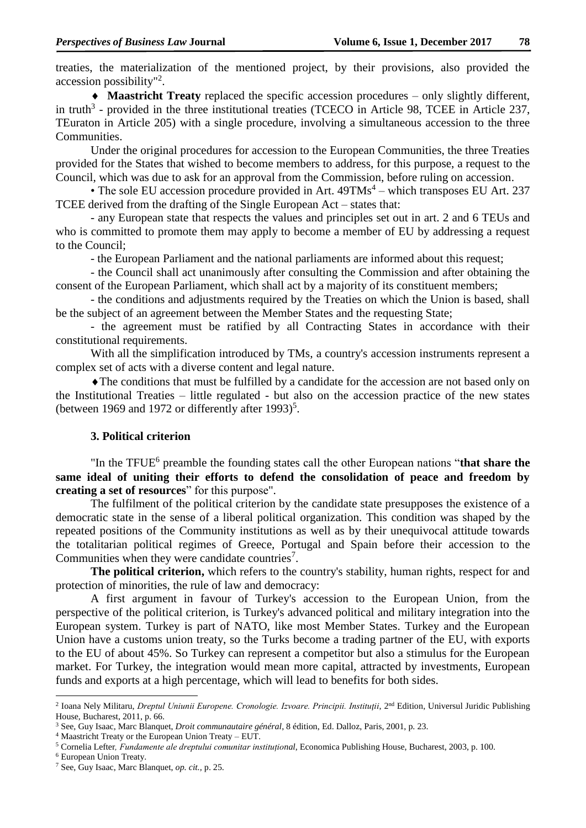treaties, the materialization of the mentioned project, by their provisions, also provided the accession possibility" 2 .

 **Maastricht Treaty** replaced the specific accession procedures – only slightly different, in truth<sup>3</sup> - provided in the three institutional treaties (TCECO in Article 98, TCEE in Article 237, TEuraton in Article 205) with a single procedure, involving a simultaneous accession to the three Communities.

Under the original procedures for accession to the European Communities, the three Treaties provided for the States that wished to become members to address, for this purpose, a request to the Council, which was due to ask for an approval from the Commission, before ruling on accession.

• The sole EU accession procedure provided in Art.  $49TMs<sup>4</sup>$  – which transposes EU Art. 237 TCEE derived from the drafting of the Single European Act – states that:

- any European state that respects the values and principles set out in art. 2 and 6 TEUs and who is committed to promote them may apply to become a member of EU by addressing a request to the Council;

- the European Parliament and the national parliaments are informed about this request;

- the Council shall act unanimously after consulting the Commission and after obtaining the consent of the European Parliament, which shall act by a majority of its constituent members;

- the conditions and adjustments required by the Treaties on which the Union is based, shall be the subject of an agreement between the Member States and the requesting State;

- the agreement must be ratified by all Contracting States in accordance with their constitutional requirements.

With all the simplification introduced by TMs, a country's accession instruments represent a complex set of acts with a diverse content and legal nature.

The conditions that must be fulfilled by a candidate for the accession are not based only on the Institutional Treaties – little regulated - but also on the accession practice of the new states (between 1969 and 1972 or differently after 1993)<sup>5</sup>.

### **3. Political criterion**

"In the TFUE<sup>6</sup> preamble the founding states call the other European nations "that share the **same ideal of uniting their efforts to defend the consolidation of peace and freedom by creating a set of resources**" for this purpose".

The fulfilment of the political criterion by the candidate state presupposes the existence of a democratic state in the sense of a liberal political organization. This condition was shaped by the repeated positions of the Community institutions as well as by their unequivocal attitude towards the totalitarian political regimes of Greece, Portugal and Spain before their accession to the Communities when they were candidate countries<sup>7</sup>.

**The political criterion,** which refers to the country's stability, human rights, respect for and protection of minorities, the rule of law and democracy:

A first argument in favour of Turkey's accession to the European Union, from the perspective of the political criterion, is Turkey's advanced political and military integration into the European system. Turkey is part of NATO, like most Member States. Turkey and the European Union have a customs union treaty, so the Turks become a trading partner of the EU, with exports to the EU of about 45%. So Turkey can represent a competitor but also a stimulus for the European market. For Turkey, the integration would mean more capital, attracted by investments, European funds and exports at a high percentage, which will lead to benefits for both sides.

1

<sup>&</sup>lt;sup>2</sup> Ioana Nely Militaru, *Dreptul Uniunii Europene. Cronologie. Izvoare. Principii. Instituții*, 2<sup>nd</sup> Edition, Universul Juridic Publishing House, Bucharest, 2011, p. 66.

<sup>3</sup> See, Guy Isaac, Marc Blanquet, *Droit communautaire général*, 8 édition, Ed. Dalloz, Paris, 2001, p. 23.

<sup>4</sup> Maastricht Treaty or the European Union Treaty – EUT.

<sup>5</sup> Cornelia Lefter*, Fundamente ale dreptului comunitar instituțional*, Economica Publishing House, Bucharest, 2003, p. 100.

<sup>6</sup> European Union Treaty.

<sup>7</sup> See, Guy Isaac, Marc Blanquet, *op. cit.,* p. 25.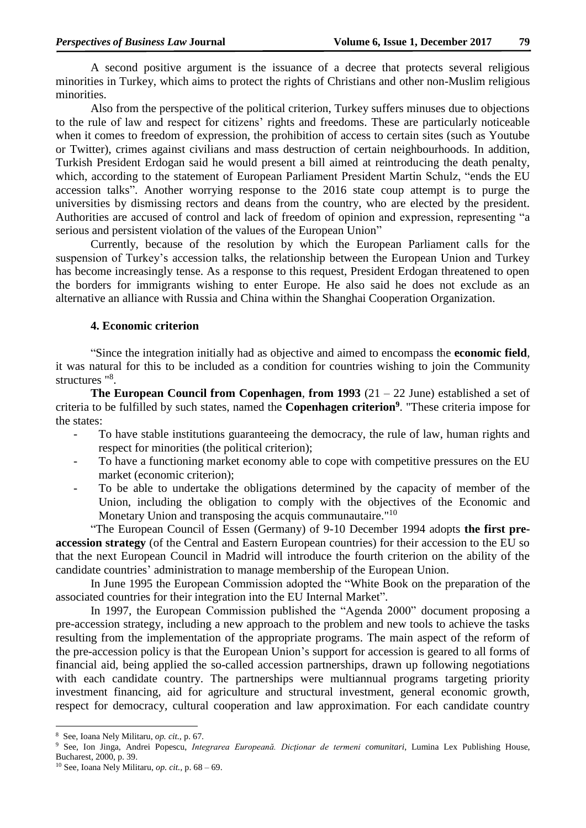A second positive argument is the issuance of a decree that protects several religious minorities in Turkey, which aims to protect the rights of Christians and other non-Muslim religious minorities.

Also from the perspective of the political criterion, Turkey suffers minuses due to objections to the rule of law and respect for citizens' rights and freedoms. These are particularly noticeable when it comes to freedom of expression, the prohibition of access to certain sites (such as Youtube or Twitter), crimes against civilians and mass destruction of certain neighbourhoods. In addition, Turkish President Erdogan said he would present a bill aimed at reintroducing the death penalty, which, according to the statement of European Parliament President Martin Schulz, "ends the EU accession talks". Another worrying response to the 2016 state coup attempt is to purge the universities by dismissing rectors and deans from the country, who are elected by the president. Authorities are accused of control and lack of freedom of opinion and expression, representing "a serious and persistent violation of the values of the European Union"

Currently, because of the resolution by which the European Parliament calls for the suspension of Turkey's accession talks, the relationship between the European Union and Turkey has become increasingly tense. As a response to this request, President Erdogan threatened to open the borders for immigrants wishing to enter Europe. He also said he does not exclude as an alternative an alliance with Russia and China within the Shanghai Cooperation Organization.

### **4. Economic criterion**

"Since the integration initially had as objective and aimed to encompass the **economic field**, it was natural for this to be included as a condition for countries wishing to join the Community structures "<sup>8</sup>.

**The European Council from Copenhagen**, **from 1993** (21 – 22 June) established a set of criteria to be fulfilled by such states, named the **Copenhagen criterion<sup>9</sup>** . "These criteria impose for the states:

- To have stable institutions guaranteeing the democracy, the rule of law, human rights and respect for minorities (the political criterion);
- To have a functioning market economy able to cope with competitive pressures on the EU market (economic criterion);
- To be able to undertake the obligations determined by the capacity of member of the Union, including the obligation to comply with the objectives of the Economic and Monetary Union and transposing the acquis communautaire."<sup>10</sup>

"The European Council of Essen (Germany) of 9-10 December 1994 adopts **the first preaccession strategy** (of the Central and Eastern European countries) for their accession to the EU so that the next European Council in Madrid will introduce the fourth criterion on the ability of the candidate countries' administration to manage membership of the European Union.

In June 1995 the European Commission adopted the "White Book on the preparation of the associated countries for their integration into the EU Internal Market".

In 1997, the European Commission published the "Agenda 2000" document proposing a pre-accession strategy, including a new approach to the problem and new tools to achieve the tasks resulting from the implementation of the appropriate programs. The main aspect of the reform of the pre-accession policy is that the European Union's support for accession is geared to all forms of financial aid, being applied the so-called accession partnerships, drawn up following negotiations with each candidate country. The partnerships were multiannual programs targeting priority investment financing, aid for agriculture and structural investment, general economic growth, respect for democracy, cultural cooperation and law approximation. For each candidate country

 8 See, Ioana Nely Militaru, *op. cit.,* p. 67.

<sup>9</sup> See, Ion Jinga, Andrei Popescu, *Integrarea Europeană. Dicţionar de termeni comunitari*, Lumina Lex Publishing House, Bucharest, 2000, p. 39.

<sup>10</sup> See, Ioana Nely Militaru, *op. cit.,* p. 68 – 69.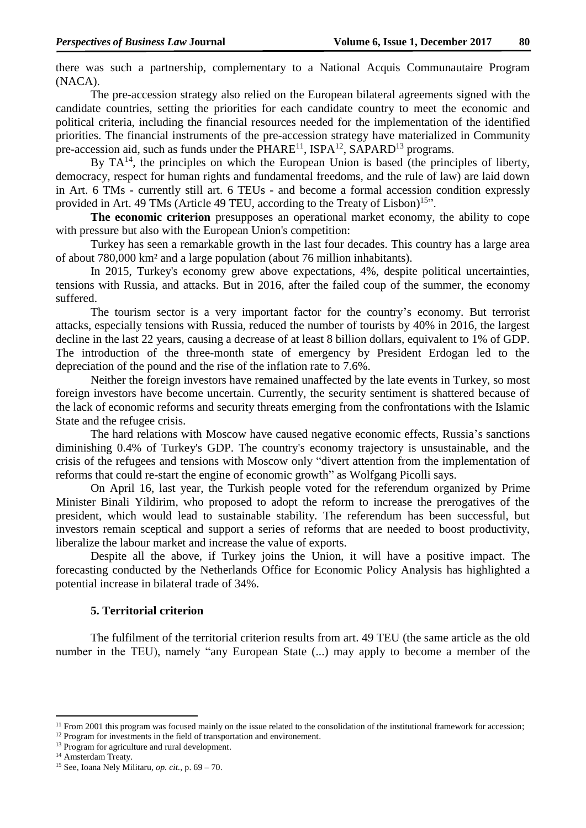there was such a partnership, complementary to a National Acquis Communautaire Program (NACA).

The pre-accession strategy also relied on the European bilateral agreements signed with the candidate countries, setting the priorities for each candidate country to meet the economic and political criteria, including the financial resources needed for the implementation of the identified priorities. The financial instruments of the pre-accession strategy have materialized in Community pre-accession aid, such as funds under the PHARE<sup>11</sup>, ISPA<sup>12</sup>, SAPARD<sup>13</sup> programs.

By  $TA^{14}$ , the principles on which the European Union is based (the principles of liberty, democracy, respect for human rights and fundamental freedoms, and the rule of law) are laid down in Art. 6 TMs - currently still art. 6 TEUs - and become a formal accession condition expressly provided in Art. 49 TMs (Article 49 TEU, according to the Treaty of Lisbon)<sup>15</sup>".

**The economic criterion** presupposes an operational market economy, the ability to cope with pressure but also with the European Union's competition:

Turkey has seen a remarkable growth in the last four decades. This country has a large area of about 780,000 km² and a large population (about 76 million inhabitants).

In 2015, Turkey's economy grew above expectations, 4%, despite political uncertainties, tensions with Russia, and attacks. But in 2016, after the failed coup of the summer, the economy suffered.

The tourism sector is a very important factor for the country's economy. But terrorist attacks, especially tensions with Russia, reduced the number of tourists by 40% in 2016, the largest decline in the last 22 years, causing a decrease of at least 8 billion dollars, equivalent to 1% of GDP. The introduction of the three-month state of emergency by President Erdogan led to the depreciation of the pound and the rise of the inflation rate to 7.6%.

Neither the foreign investors have remained unaffected by the late events in Turkey, so most foreign investors have become uncertain. Currently, the security sentiment is shattered because of the lack of economic reforms and security threats emerging from the confrontations with the Islamic State and the refugee crisis.

The hard relations with Moscow have caused negative economic effects, Russia's sanctions diminishing 0.4% of Turkey's GDP. The country's economy trajectory is unsustainable, and the crisis of the refugees and tensions with Moscow only "divert attention from the implementation of reforms that could re-start the engine of economic growth" as Wolfgang Picolli says.

On April 16, last year, the Turkish people voted for the referendum organized by Prime Minister Binali Yildirim, who proposed to adopt the reform to increase the prerogatives of the president, which would lead to sustainable stability. The referendum has been successful, but investors remain sceptical and support a series of reforms that are needed to boost productivity, liberalize the labour market and increase the value of exports.

Despite all the above, if Turkey joins the Union, it will have a positive impact. The forecasting conducted by the Netherlands Office for Economic Policy Analysis has highlighted a potential increase in bilateral trade of 34%.

### **5. Territorial criterion**

The fulfilment of the territorial criterion results from art. 49 TEU (the same article as the old number in the TEU), namely "any European State (...) may apply to become a member of the

1

 $11$  From 2001 this program was focused mainly on the issue related to the consolidation of the institutional framework for accession;

<sup>&</sup>lt;sup>12</sup> Program for investments in the field of transportation and environement.

<sup>&</sup>lt;sup>13</sup> Program for agriculture and rural development.

<sup>&</sup>lt;sup>14</sup> Amsterdam Treaty.

<sup>15</sup> See, Ioana Nely Militaru, *op. cit.,* p. 69 – 70.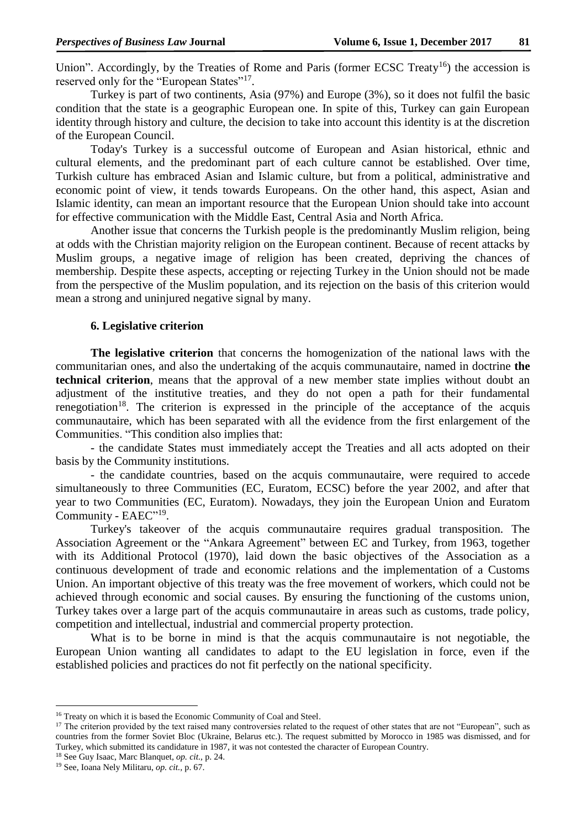Union". Accordingly, by the Treaties of Rome and Paris (former ECSC Treaty<sup>16</sup>) the accession is reserved only for the "European States"<sup>17</sup>.

Turkey is part of two continents, Asia (97%) and Europe (3%), so it does not fulfil the basic condition that the state is a geographic European one. In spite of this, Turkey can gain European identity through history and culture, the decision to take into account this identity is at the discretion of the European Council.

Today's Turkey is a successful outcome of European and Asian historical, ethnic and cultural elements, and the predominant part of each culture cannot be established. Over time, Turkish culture has embraced Asian and Islamic culture, but from a political, administrative and economic point of view, it tends towards Europeans. On the other hand, this aspect, Asian and Islamic identity, can mean an important resource that the European Union should take into account for effective communication with the Middle East, Central Asia and North Africa.

Another issue that concerns the Turkish people is the predominantly Muslim religion, being at odds with the Christian majority religion on the European continent. Because of recent attacks by Muslim groups, a negative image of religion has been created, depriving the chances of membership. Despite these aspects, accepting or rejecting Turkey in the Union should not be made from the perspective of the Muslim population, and its rejection on the basis of this criterion would mean a strong and uninjured negative signal by many.

# **6. Legislative criterion**

**The legislative criterion** that concerns the homogenization of the national laws with the communitarian ones, and also the undertaking of the acquis communautaire, named in doctrine **the technical criterion**, means that the approval of a new member state implies without doubt an adjustment of the institutive treaties, and they do not open a path for their fundamental renegotiation<sup>18</sup>. The criterion is expressed in the principle of the acceptance of the acquis communautaire, which has been separated with all the evidence from the first enlargement of the Communities. "This condition also implies that:

- the candidate States must immediately accept the Treaties and all acts adopted on their basis by the Community institutions.

- the candidate countries, based on the acquis communautaire, were required to accede simultaneously to three Communities (EC, Euratom, ECSC) before the year 2002, and after that year to two Communities (EC, Euratom). Nowadays, they join the European Union and Euratom Community - EAEC"<sup>19</sup>.

Turkey's takeover of the acquis communautaire requires gradual transposition. The Association Agreement or the "Ankara Agreement" between EC and Turkey, from 1963, together with its Additional Protocol (1970), laid down the basic objectives of the Association as a continuous development of trade and economic relations and the implementation of a Customs Union. An important objective of this treaty was the free movement of workers, which could not be achieved through economic and social causes. By ensuring the functioning of the customs union, Turkey takes over a large part of the acquis communautaire in areas such as customs, trade policy, competition and intellectual, industrial and commercial property protection.

What is to be borne in mind is that the acquis communautaire is not negotiable, the European Union wanting all candidates to adapt to the EU legislation in force, even if the established policies and practices do not fit perfectly on the national specificity.

**.** 

<sup>&</sup>lt;sup>16</sup> Treaty on which it is based the Economic Community of Coal and Steel.

<sup>&</sup>lt;sup>17</sup> The criterion provided by the text raised many controversies related to the request of other states that are not "European", such as countries from the former Soviet Bloc (Ukraine, Belarus etc.). The request submitted by Morocco in 1985 was dismissed, and for Turkey, which submitted its candidature in 1987, it was not contested the character of European Country.

<sup>18</sup> See Guy Isaac, Marc Blanquet, *op. cit.,* p. 24.

<sup>19</sup> See, Ioana Nely Militaru, *op. cit.,* p. 67.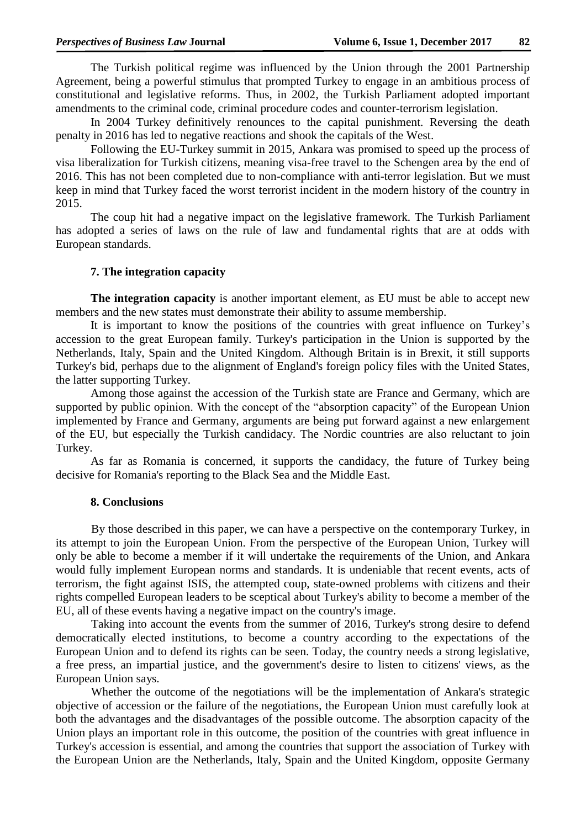The Turkish political regime was influenced by the Union through the 2001 Partnership Agreement, being a powerful stimulus that prompted Turkey to engage in an ambitious process of constitutional and legislative reforms. Thus, in 2002, the Turkish Parliament adopted important amendments to the criminal code, criminal procedure codes and counter-terrorism legislation.

In 2004 Turkey definitively renounces to the capital punishment. Reversing the death penalty in 2016 has led to negative reactions and shook the capitals of the West.

Following the EU-Turkey summit in 2015, Ankara was promised to speed up the process of visa liberalization for Turkish citizens, meaning visa-free travel to the Schengen area by the end of 2016. This has not been completed due to non-compliance with anti-terror legislation. But we must keep in mind that Turkey faced the worst terrorist incident in the modern history of the country in 2015.

The coup hit had a negative impact on the legislative framework. The Turkish Parliament has adopted a series of laws on the rule of law and fundamental rights that are at odds with European standards.

#### **7. The integration capacity**

**The integration capacity** is another important element, as EU must be able to accept new members and the new states must demonstrate their ability to assume membership.

It is important to know the positions of the countries with great influence on Turkey's accession to the great European family. Turkey's participation in the Union is supported by the Netherlands, Italy, Spain and the United Kingdom. Although Britain is in Brexit, it still supports Turkey's bid, perhaps due to the alignment of England's foreign policy files with the United States, the latter supporting Turkey.

Among those against the accession of the Turkish state are France and Germany, which are supported by public opinion. With the concept of the "absorption capacity" of the European Union implemented by France and Germany, arguments are being put forward against a new enlargement of the EU, but especially the Turkish candidacy. The Nordic countries are also reluctant to join Turkey.

As far as Romania is concerned, it supports the candidacy, the future of Turkey being decisive for Romania's reporting to the Black Sea and the Middle East.

### **8. Conclusions**

By those described in this paper, we can have a perspective on the contemporary Turkey, in its attempt to join the European Union. From the perspective of the European Union, Turkey will only be able to become a member if it will undertake the requirements of the Union, and Ankara would fully implement European norms and standards. It is undeniable that recent events, acts of terrorism, the fight against ISIS, the attempted coup, state-owned problems with citizens and their rights compelled European leaders to be sceptical about Turkey's ability to become a member of the EU, all of these events having a negative impact on the country's image.

Taking into account the events from the summer of 2016, Turkey's strong desire to defend democratically elected institutions, to become a country according to the expectations of the European Union and to defend its rights can be seen. Today, the country needs a strong legislative, a free press, an impartial justice, and the government's desire to listen to citizens' views, as the European Union says.

Whether the outcome of the negotiations will be the implementation of Ankara's strategic objective of accession or the failure of the negotiations, the European Union must carefully look at both the advantages and the disadvantages of the possible outcome. The absorption capacity of the Union plays an important role in this outcome, the position of the countries with great influence in Turkey's accession is essential, and among the countries that support the association of Turkey with the European Union are the Netherlands, Italy, Spain and the United Kingdom, opposite Germany